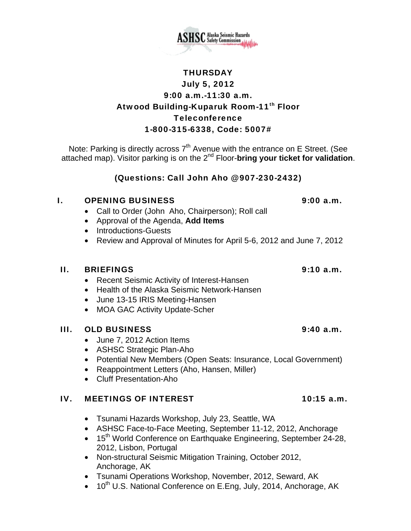

Note: Parking is directly across  $7<sup>th</sup>$  Avenue with the entrance on E Street. (See attached map). Visitor parking is on the 2nd Floor-**bring your ticket for validation**.

# (Questions: Call John Aho @ 907-230-2432)

## I. OPENING BUSINESS 9:00 a.m.

- Call to Order (John Aho, Chairperson); Roll call
- Approval of the Agenda, **Add Items**
- Introductions-Guests
- Review and Approval of Minutes for April 5-6, 2012 and June 7, 2012

## II. BRIEFINGS 9:10 a.m.

- Recent Seismic Activity of Interest-Hansen
- Health of the Alaska Seismic Network-Hansen
- June 13-15 IRIS Meeting-Hansen
- MOA GAC Activity Update-Scher

# III. OLD BUSINESS 9:40 a.m.

- June 7, 2012 Action Items
- ASHSC Strategic Plan-Aho
- Potential New Members (Open Seats: Insurance, Local Government)
- Reappointment Letters (Aho, Hansen, Miller)
- Cluff Presentation-Aho

### IV. MEETINGS OF INTEREST 10:15 a.m.

- Tsunami Hazards Workshop, July 23, Seattle, WA
- ASHSC Face-to-Face Meeting, September 11-12, 2012, Anchorage
- 15<sup>th</sup> World Conference on Earthquake Engineering, September 24-28, 2012, Lisbon, Portugal
- Non-structural Seismic Mitigation Training, October 2012, Anchorage, AK
- Tsunami Operations Workshop, November, 2012, Seward, AK
- 10<sup>th</sup> U.S. National Conference on E.Eng, July, 2014, Anchorage, AK

**THURSDAY**